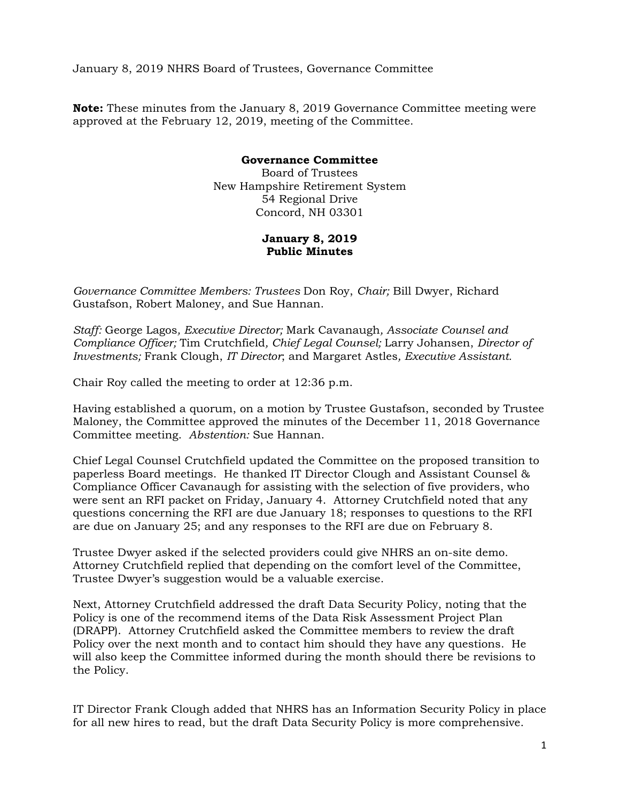January 8, 2019 NHRS Board of Trustees, Governance Committee

**Note:** These minutes from the January 8, 2019 Governance Committee meeting were approved at the February 12, 2019, meeting of the Committee.

## **Governance Committee**

Board of Trustees New Hampshire Retirement System 54 Regional Drive Concord, NH 03301

## **January 8, 2019 Public Minutes**

*Governance Committee Members: Trustees* Don Roy, *Chair;* Bill Dwyer, Richard Gustafson, Robert Maloney, and Sue Hannan.

*Staff:* George Lagos*, Executive Director;* Mark Cavanaugh*, Associate Counsel and Compliance Officer;* Tim Crutchfield*, Chief Legal Counsel;* Larry Johansen, *Director of Investments;* Frank Clough, *IT Director*; and Margaret Astles*, Executive Assistant.* 

Chair Roy called the meeting to order at 12:36 p.m.

Having established a quorum, on a motion by Trustee Gustafson, seconded by Trustee Maloney, the Committee approved the minutes of the December 11, 2018 Governance Committee meeting. *Abstention:* Sue Hannan.

Chief Legal Counsel Crutchfield updated the Committee on the proposed transition to paperless Board meetings. He thanked IT Director Clough and Assistant Counsel & Compliance Officer Cavanaugh for assisting with the selection of five providers, who were sent an RFI packet on Friday, January 4. Attorney Crutchfield noted that any questions concerning the RFI are due January 18; responses to questions to the RFI are due on January 25; and any responses to the RFI are due on February 8.

Trustee Dwyer asked if the selected providers could give NHRS an on-site demo. Attorney Crutchfield replied that depending on the comfort level of the Committee, Trustee Dwyer's suggestion would be a valuable exercise.

Next, Attorney Crutchfield addressed the draft Data Security Policy, noting that the Policy is one of the recommend items of the Data Risk Assessment Project Plan (DRAPP). Attorney Crutchfield asked the Committee members to review the draft Policy over the next month and to contact him should they have any questions. He will also keep the Committee informed during the month should there be revisions to the Policy.

IT Director Frank Clough added that NHRS has an Information Security Policy in place for all new hires to read, but the draft Data Security Policy is more comprehensive.